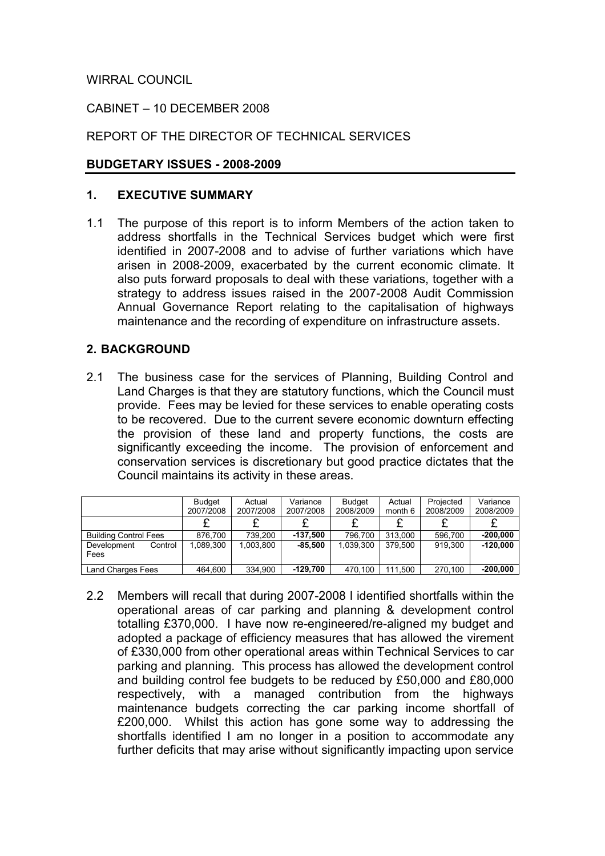WIRRAL COUNCIL

## CABINET – 10 DECEMBER 2008

# REPORT OF THE DIRECTOR OF TECHNICAL SERVICES

#### BUDGETARY ISSUES - 2008-2009

#### 1. EXECUTIVE SUMMARY

1.1 The purpose of this report is to inform Members of the action taken to address shortfalls in the Technical Services budget which were first identified in 2007-2008 and to advise of further variations which have arisen in 2008-2009, exacerbated by the current economic climate. It also puts forward proposals to deal with these variations, together with a strategy to address issues raised in the 2007-2008 Audit Commission Annual Governance Report relating to the capitalisation of highways maintenance and the recording of expenditure on infrastructure assets.

## 2. BACKGROUND

2.1 The business case for the services of Planning, Building Control and Land Charges is that they are statutory functions, which the Council must provide. Fees may be levied for these services to enable operating costs to be recovered. Due to the current severe economic downturn effecting the provision of these land and property functions, the costs are significantly exceeding the income. The provision of enforcement and conservation services is discretionary but good practice dictates that the Council maintains its activity in these areas.

|                                | <b>Budget</b><br>2007/2008 | Actual<br>2007/2008 | Variance<br>2007/2008 | <b>Budget</b><br>2008/2009 | Actual<br>month 6 | Projected<br>2008/2009 | Variance<br>2008/2009 |
|--------------------------------|----------------------------|---------------------|-----------------------|----------------------------|-------------------|------------------------|-----------------------|
|                                |                            |                     |                       |                            |                   |                        |                       |
| <b>Building Control Fees</b>   | 876.700                    | 739.200             | $-137,500$            | 796.700                    | 313.000           | 596.700                | $-200,000$            |
| Control<br>Development<br>Fees | 1.089.300                  | 1,003,800           | $-85.500$             | 1.039.300                  | 379.500           | 919.300                | $-120.000$            |
| Land Charges Fees              | 464.600                    | 334.900             | $-129.700$            | 470.100                    | 111.500           | 270.100                | $-200.000$            |

2.2 Members will recall that during 2007-2008 I identified shortfalls within the operational areas of car parking and planning & development control totalling £370,000. I have now re-engineered/re-aligned my budget and adopted a package of efficiency measures that has allowed the virement of £330,000 from other operational areas within Technical Services to car parking and planning. This process has allowed the development control and building control fee budgets to be reduced by £50,000 and £80,000 respectively, with a managed contribution from the highways maintenance budgets correcting the car parking income shortfall of £200,000. Whilst this action has gone some way to addressing the shortfalls identified I am no longer in a position to accommodate any further deficits that may arise without significantly impacting upon service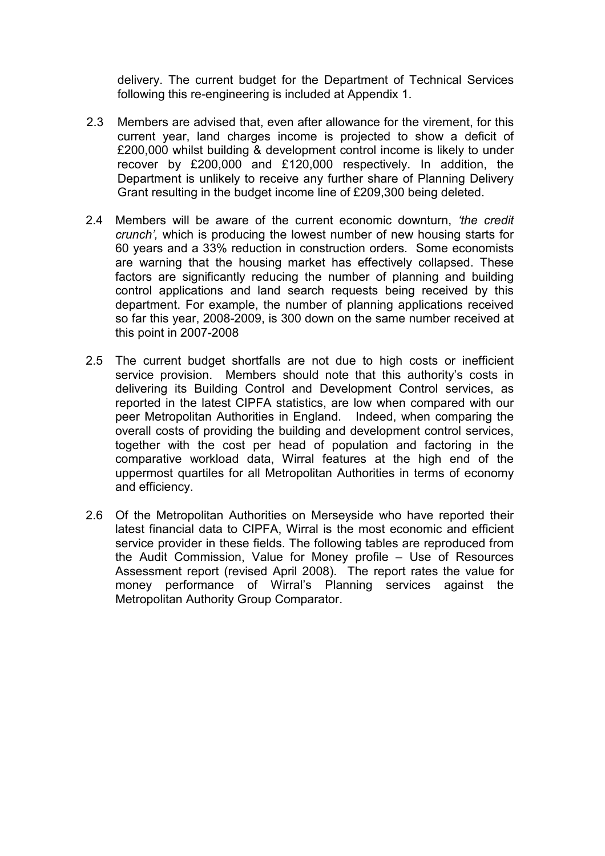delivery. The current budget for the Department of Technical Services following this re-engineering is included at Appendix 1.

- 2.3 Members are advised that, even after allowance for the virement, for this current year, land charges income is projected to show a deficit of £200,000 whilst building & development control income is likely to under recover by £200,000 and £120,000 respectively. In addition, the Department is unlikely to receive any further share of Planning Delivery Grant resulting in the budget income line of £209,300 being deleted.
- 2.4 Members will be aware of the current economic downturn, 'the credit' crunch', which is producing the lowest number of new housing starts for 60 years and a 33% reduction in construction orders. Some economists are warning that the housing market has effectively collapsed. These factors are significantly reducing the number of planning and building control applications and land search requests being received by this department. For example, the number of planning applications received so far this year, 2008-2009, is 300 down on the same number received at this point in 2007-2008
- 2.5 The current budget shortfalls are not due to high costs or inefficient service provision. Members should note that this authority's costs in delivering its Building Control and Development Control services, as reported in the latest CIPFA statistics, are low when compared with our peer Metropolitan Authorities in England. Indeed, when comparing the overall costs of providing the building and development control services, together with the cost per head of population and factoring in the comparative workload data, Wirral features at the high end of the uppermost quartiles for all Metropolitan Authorities in terms of economy and efficiency.
- 2.6 Of the Metropolitan Authorities on Merseyside who have reported their latest financial data to CIPFA, Wirral is the most economic and efficient service provider in these fields. The following tables are reproduced from the Audit Commission, Value for Money profile – Use of Resources Assessment report (revised April 2008). The report rates the value for money performance of Wirral's Planning services against the Metropolitan Authority Group Comparator.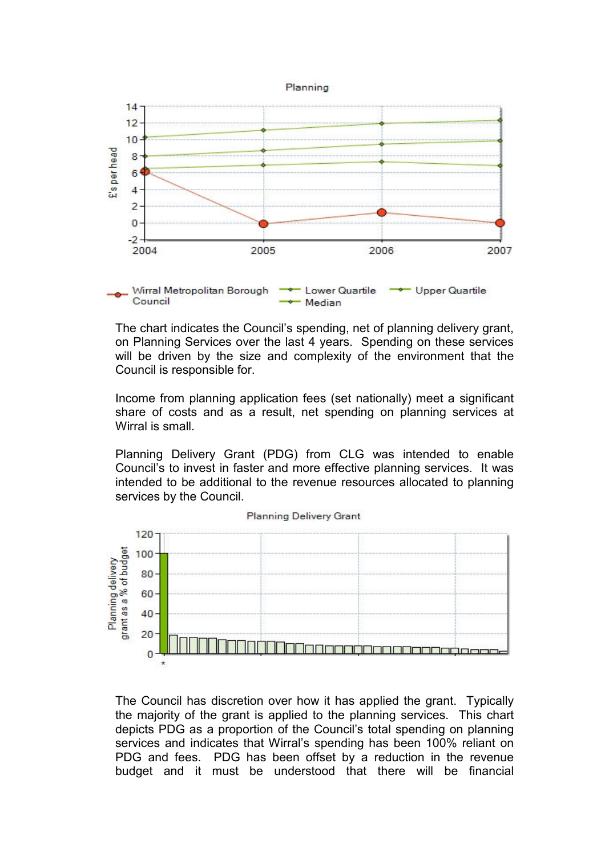



The chart indicates the Council's spending, net of planning delivery grant, on Planning Services over the last 4 years. Spending on these services will be driven by the size and complexity of the environment that the Council is responsible for.

Income from planning application fees (set nationally) meet a significant share of costs and as a result, net spending on planning services at Wirral is small.

Planning Delivery Grant (PDG) from CLG was intended to enable Council's to invest in faster and more effective planning services. It was intended to be additional to the revenue resources allocated to planning services by the Council.



**Planning Delivery Grant** 

The Council has discretion over how it has applied the grant. Typically the majority of the grant is applied to the planning services. This chart depicts PDG as a proportion of the Council's total spending on planning services and indicates that Wirral's spending has been 100% reliant on PDG and fees. PDG has been offset by a reduction in the revenue budget and it must be understood that there will be financial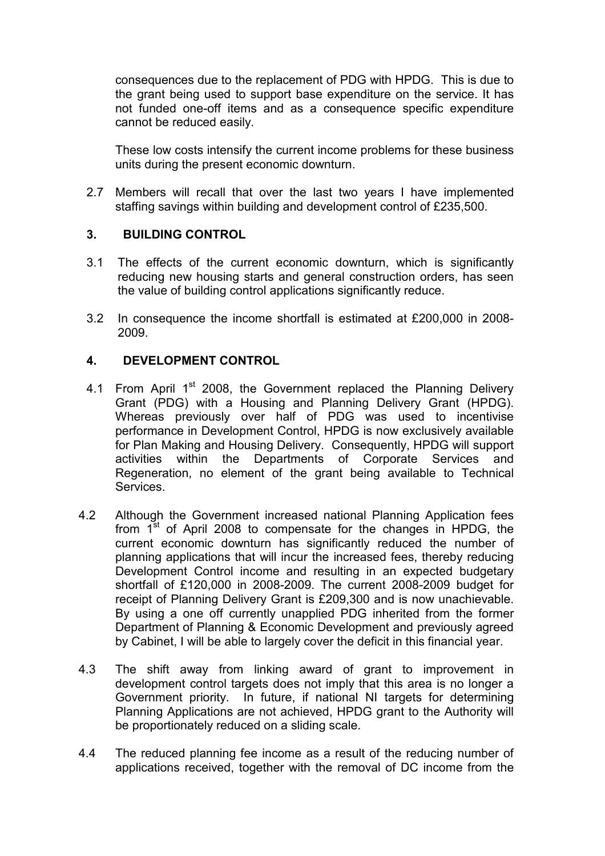consequences due to the replacement of PDG with HPDG. This is due to the grant being used to support base expenditure on the service. It has not funded one-off items and as a consequence specific expenditure cannot be reduced easily.

These low costs intensify the current income problems for these business units during the present economic downturn.

2.7 Members will recall that over the last two years I have implemented staffing savings within building and development control of £235,500.

#### 3. BUILDING CONTROL

- 3.1 The effects of the current economic downturn, which is significantly reducing new housing starts and general construction orders, has seen the value of building control applications significantly reduce.
- 3.2 In consequence the income shortfall is estimated at £200,000 in 2008- 2009.

#### 4. DEVELOPMENT CONTROL

- 4.1 From April 1<sup>st</sup> 2008, the Government replaced the Planning Delivery Grant (PDG) with a Housing and Planning Delivery Grant (HPDG). Whereas previously over half of PDG was used to incentivise performance in Development Control, HPDG is now exclusively available for Plan Making and Housing Delivery. Consequently, HPDG will support activities within the Departments of Corporate Services and Regeneration, no element of the grant being available to Technical Services.
- 4.2 Although the Government increased national Planning Application fees from  $1^{st}$  of April 2008 to compensate for the changes in HPDG, the current economic downturn has significantly reduced the number of planning applications that will incur the increased fees, thereby reducing Development Control income and resulting in an expected budgetary shortfall of £120,000 in 2008-2009. The current 2008-2009 budget for receipt of Planning Delivery Grant is £209,300 and is now unachievable. By using a one off currently unapplied PDG inherited from the former Department of Planning & Economic Development and previously agreed by Cabinet, I will be able to largely cover the deficit in this financial year.
- 4.3 The shift away from linking award of grant to improvement in development control targets does not imply that this area is no longer a Government priority. In future, if national NI targets for determining Planning Applications are not achieved, HPDG grant to the Authority will be proportionately reduced on a sliding scale.
- 4.4 The reduced planning fee income as a result of the reducing number of applications received, together with the removal of DC income from the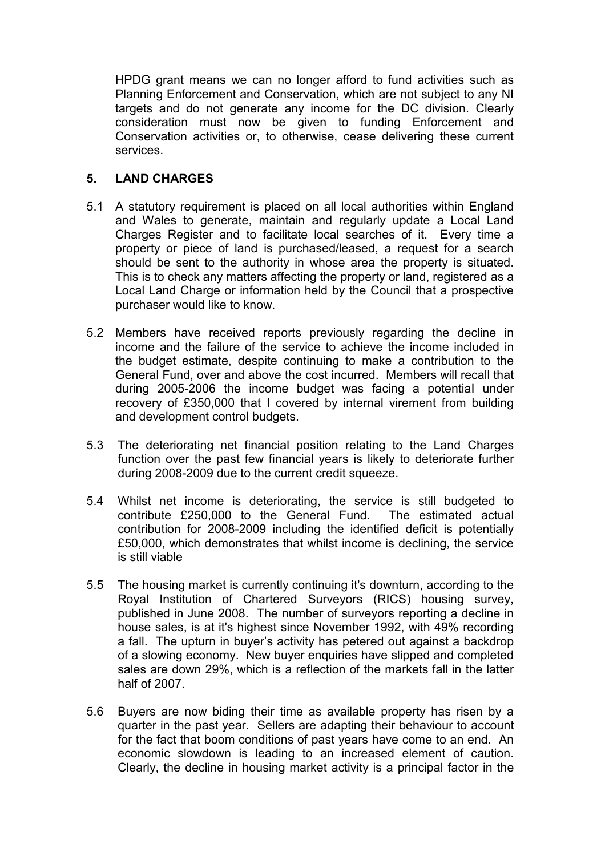HPDG grant means we can no longer afford to fund activities such as Planning Enforcement and Conservation, which are not subject to any NI targets and do not generate any income for the DC division. Clearly consideration must now be given to funding Enforcement and Conservation activities or, to otherwise, cease delivering these current services.

## 5. LAND CHARGES

- 5.1 A statutory requirement is placed on all local authorities within England and Wales to generate, maintain and regularly update a Local Land Charges Register and to facilitate local searches of it. Every time a property or piece of land is purchased/leased, a request for a search should be sent to the authority in whose area the property is situated. This is to check any matters affecting the property or land, registered as a Local Land Charge or information held by the Council that a prospective purchaser would like to know.
- 5.2 Members have received reports previously regarding the decline in income and the failure of the service to achieve the income included in the budget estimate, despite continuing to make a contribution to the General Fund, over and above the cost incurred. Members will recall that during 2005-2006 the income budget was facing a potentiaI under recovery of £350,000 that I covered by internal virement from building and development control budgets.
- 5.3 The deteriorating net financial position relating to the Land Charges function over the past few financial years is likely to deteriorate further during 2008-2009 due to the current credit squeeze.
- 5.4 Whilst net income is deteriorating, the service is still budgeted to contribute £250,000 to the General Fund. The estimated actual contribution for 2008-2009 including the identified deficit is potentially £50,000, which demonstrates that whilst income is declining, the service is still viable
- 5.5 The housing market is currently continuing it's downturn, according to the Royal Institution of Chartered Surveyors (RICS) housing survey, published in June 2008. The number of surveyors reporting a decline in house sales, is at it's highest since November 1992, with 49% recording a fall. The upturn in buyer's activity has petered out against a backdrop of a slowing economy. New buyer enquiries have slipped and completed sales are down 29%, which is a reflection of the markets fall in the latter half of 2007.
- 5.6 Buyers are now biding their time as available property has risen by a quarter in the past year. Sellers are adapting their behaviour to account for the fact that boom conditions of past years have come to an end. An economic slowdown is leading to an increased element of caution. Clearly, the decline in housing market activity is a principal factor in the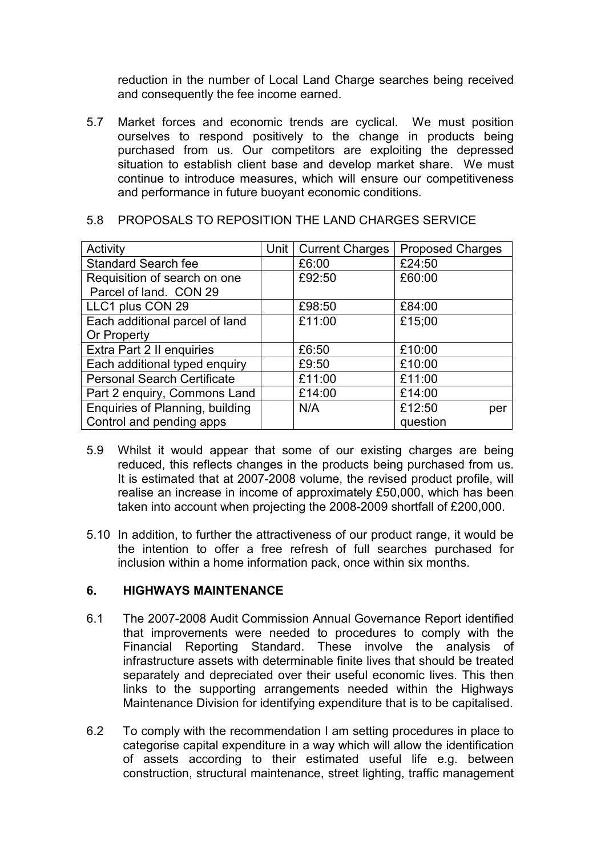reduction in the number of Local Land Charge searches being received and consequently the fee income earned.

5.7 Market forces and economic trends are cyclical. We must position ourselves to respond positively to the change in products being purchased from us. Our competitors are exploiting the depressed situation to establish client base and develop market share. We must continue to introduce measures, which will ensure our competitiveness and performance in future buoyant economic conditions.

| 5.8 PROPOSALS TO REPOSITION THE LAND CHARGES SERVICE |  |  |  |  |  |  |
|------------------------------------------------------|--|--|--|--|--|--|
|------------------------------------------------------|--|--|--|--|--|--|

| Activity                           | Unit | <b>Current Charges</b> | <b>Proposed Charges</b> |
|------------------------------------|------|------------------------|-------------------------|
| <b>Standard Search fee</b>         |      | £6:00                  | £24:50                  |
| Requisition of search on one       |      | £92:50                 | £60:00                  |
| Parcel of land. CON 29             |      |                        |                         |
| LLC1 plus CON 29                   |      | £98:50                 | £84:00                  |
| Each additional parcel of land     |      | £11:00                 | £15;00                  |
| Or Property                        |      |                        |                         |
| Extra Part 2 II enquiries          |      | £6:50                  | £10:00                  |
| Each additional typed enquiry      |      | £9:50                  | £10:00                  |
| <b>Personal Search Certificate</b> |      | £11:00                 | £11:00                  |
| Part 2 enquiry, Commons Land       |      | £14:00                 | £14:00                  |
| Enquiries of Planning, building    |      | N/A                    | £12:50<br>per           |
| Control and pending apps           |      |                        | question                |

- 5.9 Whilst it would appear that some of our existing charges are being reduced, this reflects changes in the products being purchased from us. It is estimated that at 2007-2008 volume, the revised product profile, will realise an increase in income of approximately £50,000, which has been taken into account when projecting the 2008-2009 shortfall of £200,000.
- 5.10 In addition, to further the attractiveness of our product range, it would be the intention to offer a free refresh of full searches purchased for inclusion within a home information pack, once within six months.

#### 6. HIGHWAYS MAINTENANCE

- 6.1 The 2007-2008 Audit Commission Annual Governance Report identified that improvements were needed to procedures to comply with the Financial Reporting Standard. These involve the analysis of infrastructure assets with determinable finite lives that should be treated separately and depreciated over their useful economic lives. This then links to the supporting arrangements needed within the Highways Maintenance Division for identifying expenditure that is to be capitalised.
- 6.2 To comply with the recommendation I am setting procedures in place to categorise capital expenditure in a way which will allow the identification of assets according to their estimated useful life e.g. between construction, structural maintenance, street lighting, traffic management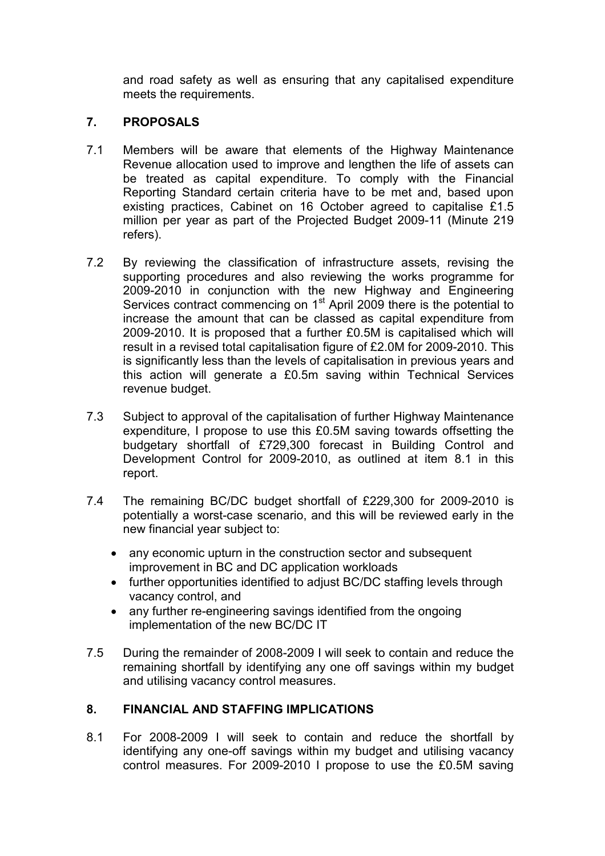and road safety as well as ensuring that any capitalised expenditure meets the requirements.

# 7. PROPOSALS

- 7.1 Members will be aware that elements of the Highway Maintenance Revenue allocation used to improve and lengthen the life of assets can be treated as capital expenditure. To comply with the Financial Reporting Standard certain criteria have to be met and, based upon existing practices, Cabinet on 16 October agreed to capitalise £1.5 million per year as part of the Projected Budget 2009-11 (Minute 219 refers).
- 7.2 By reviewing the classification of infrastructure assets, revising the supporting procedures and also reviewing the works programme for 2009-2010 in conjunction with the new Highway and Engineering Services contract commencing on 1<sup>st</sup> April 2009 there is the potential to increase the amount that can be classed as capital expenditure from 2009-2010. It is proposed that a further £0.5M is capitalised which will result in a revised total capitalisation figure of £2.0M for 2009-2010. This is significantly less than the levels of capitalisation in previous years and this action will generate a £0.5m saving within Technical Services revenue budget.
- 7.3 Subject to approval of the capitalisation of further Highway Maintenance expenditure, I propose to use this £0.5M saving towards offsetting the budgetary shortfall of £729,300 forecast in Building Control and Development Control for 2009-2010, as outlined at item 8.1 in this report.
- 7.4 The remaining BC/DC budget shortfall of £229,300 for 2009-2010 is potentially a worst-case scenario, and this will be reviewed early in the new financial year subject to:
	- any economic upturn in the construction sector and subsequent improvement in BC and DC application workloads
	- further opportunities identified to adjust BC/DC staffing levels through vacancy control, and
	- any further re-engineering savings identified from the ongoing implementation of the new BC/DC IT
- 7.5 During the remainder of 2008-2009 I will seek to contain and reduce the remaining shortfall by identifying any one off savings within my budget and utilising vacancy control measures.

# 8. FINANCIAL AND STAFFING IMPLICATIONS

8.1 For 2008-2009 I will seek to contain and reduce the shortfall by identifying any one-off savings within my budget and utilising vacancy control measures. For 2009-2010 I propose to use the £0.5M saving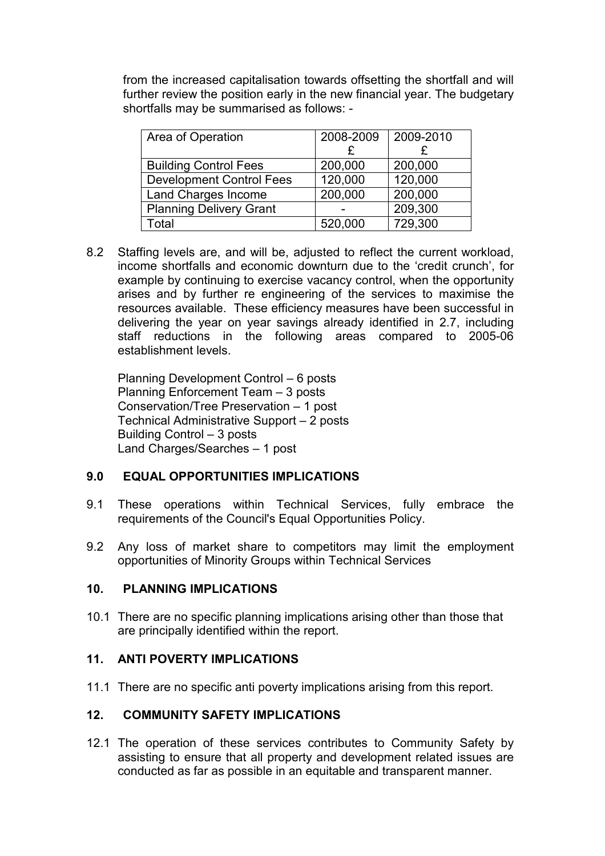from the increased capitalisation towards offsetting the shortfall and will further review the position early in the new financial year. The budgetary shortfalls may be summarised as follows: -

| Area of Operation               | 2008-2009 | 2009-2010 |
|---------------------------------|-----------|-----------|
|                                 |           |           |
| <b>Building Control Fees</b>    | 200,000   | 200,000   |
| <b>Development Control Fees</b> | 120,000   | 120,000   |
| Land Charges Income             | 200,000   | 200,000   |
| <b>Planning Delivery Grant</b>  |           | 209,300   |
| Total                           | 520,000   | 729,300   |

8.2 Staffing levels are, and will be, adjusted to reflect the current workload, income shortfalls and economic downturn due to the 'credit crunch', for example by continuing to exercise vacancy control, when the opportunity arises and by further re engineering of the services to maximise the resources available. These efficiency measures have been successful in delivering the year on year savings already identified in 2.7, including staff reductions in the following areas compared to 2005-06 establishment levels.

Planning Development Control – 6 posts Planning Enforcement Team – 3 posts Conservation/Tree Preservation – 1 post Technical Administrative Support – 2 posts Building Control – 3 posts Land Charges/Searches – 1 post

## 9.0 EQUAL OPPORTUNITIES IMPLICATIONS

- 9.1 These operations within Technical Services, fully embrace the requirements of the Council's Equal Opportunities Policy.
- 9.2 Any loss of market share to competitors may limit the employment opportunities of Minority Groups within Technical Services

#### 10. PLANNING IMPLICATIONS

10.1 There are no specific planning implications arising other than those that are principally identified within the report.

## 11. ANTI POVERTY IMPLICATIONS

11.1 There are no specific anti poverty implications arising from this report.

## 12. COMMUNITY SAFETY IMPLICATIONS

12.1 The operation of these services contributes to Community Safety by assisting to ensure that all property and development related issues are conducted as far as possible in an equitable and transparent manner.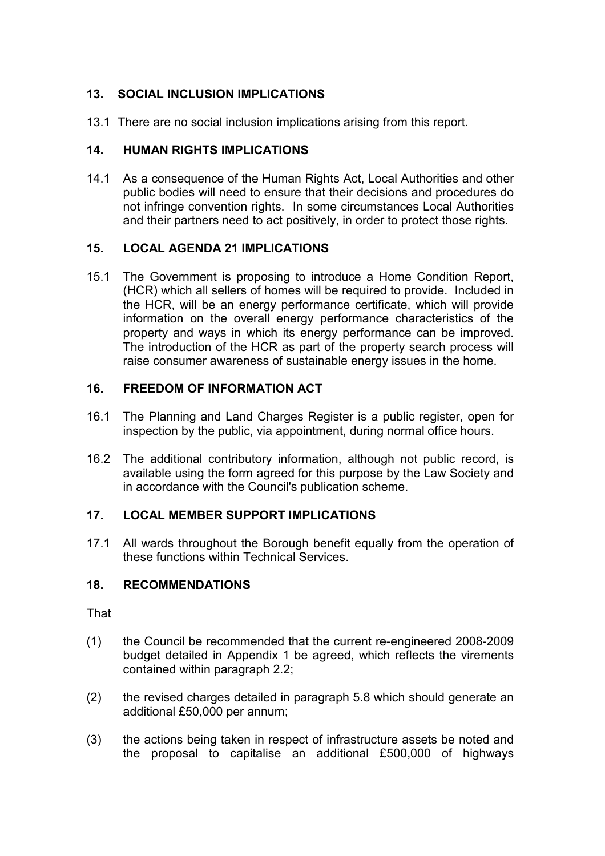# 13. SOCIAL INCLUSION IMPLICATIONS

13.1 There are no social inclusion implications arising from this report.

## 14. HUMAN RIGHTS IMPLICATIONS

14.1 As a consequence of the Human Rights Act, Local Authorities and other public bodies will need to ensure that their decisions and procedures do not infringe convention rights. In some circumstances Local Authorities and their partners need to act positively, in order to protect those rights.

## 15. LOCAL AGENDA 21 IMPLICATIONS

15.1 The Government is proposing to introduce a Home Condition Report, (HCR) which all sellers of homes will be required to provide. Included in the HCR, will be an energy performance certificate, which will provide information on the overall energy performance characteristics of the property and ways in which its energy performance can be improved. The introduction of the HCR as part of the property search process will raise consumer awareness of sustainable energy issues in the home.

# 16. FREEDOM OF INFORMATION ACT

- 16.1 The Planning and Land Charges Register is a public register, open for inspection by the public, via appointment, during normal office hours.
- 16.2 The additional contributory information, although not public record, is available using the form agreed for this purpose by the Law Society and in accordance with the Council's publication scheme.

# 17. LOCAL MEMBER SUPPORT IMPLICATIONS

17.1 All wards throughout the Borough benefit equally from the operation of these functions within Technical Services.

# 18. RECOMMENDATIONS

That

- (1) the Council be recommended that the current re-engineered 2008-2009 budget detailed in Appendix 1 be agreed, which reflects the virements contained within paragraph 2.2;
- (2) the revised charges detailed in paragraph 5.8 which should generate an additional £50,000 per annum;
- (3) the actions being taken in respect of infrastructure assets be noted and the proposal to capitalise an additional £500,000 of highways